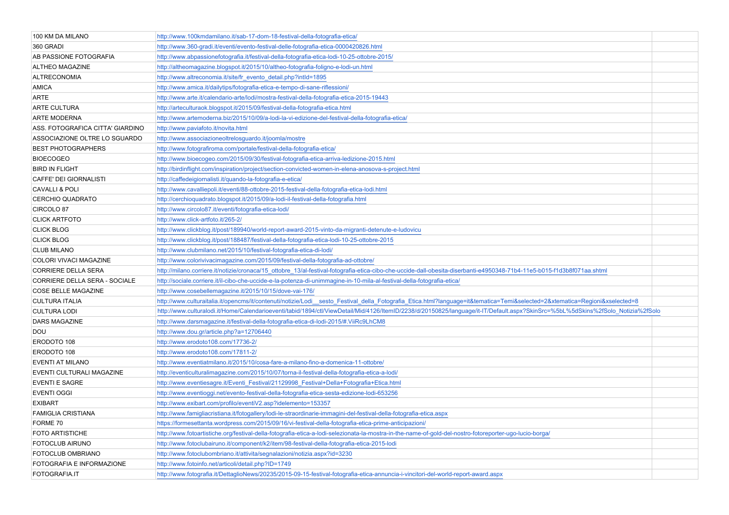| 100 KM DA MILANO                 | http://www.100kmdamilano.it/sab-17-dom-18-festival-della-fotografia-etica/                                                                                                       |  |
|----------------------------------|----------------------------------------------------------------------------------------------------------------------------------------------------------------------------------|--|
| 360 GRADI                        | http://www.360-gradi.it/eventi/evento-festival-delle-fotografia-etica-0000420826.html                                                                                            |  |
| AB PASSIONE FOTOGRAFIA           | http://www.abpassionefotografia.it/festival-della-fotografia-etica-lodi-10-25-ottobre-2015/                                                                                      |  |
| <b>ALTHEO MAGAZINE</b>           | http://altheomagazine.blogspot.it/2015/10/altheo-fotografia-foligno-e-lodi-un.html                                                                                               |  |
| <b>ALTRECONOMIA</b>              | http://www.altreconomia.it/site/fr_evento_detail.php?intld=1895                                                                                                                  |  |
| <b>AMICA</b>                     | http://www.amica.it/dailytips/fotografia-etica-e-tempo-di-sane-riflessioni/                                                                                                      |  |
| ARTE                             | http://www.arte.it/calendario-arte/lodi/mostra-festival-della-fotografia-etica-2015-19443                                                                                        |  |
| ARTE CULTURA                     | http://arteculturaok.blogspot.it/2015/09/festival-della-fotografia-etica.html                                                                                                    |  |
| ARTE MODERNA                     | http://www.artemoderna.biz/2015/10/09/a-lodi-la-vi-edizione-del-festival-della-fotografia-etica/                                                                                 |  |
| ASS. FOTOGRAFICA CITTA' GIARDINO | http://www.paviafoto.it/novita.html                                                                                                                                              |  |
| ASSOCIAZIONE OLTRE LO SGUARDO    | http://www.associazioneoltrelosguardo.it/joomla/mostre                                                                                                                           |  |
| <b>BEST PHOTOGRAPHERS</b>        | http://www.fotografiroma.com/portale/festival-della-fotografia-etica/                                                                                                            |  |
| <b>BIOECOGEO</b>                 | http://www.bioecogeo.com/2015/09/30/festival-fotografia-etica-arriva-ledizione-2015.html                                                                                         |  |
| <b>BIRD IN FLIGHT</b>            | http://birdinflight.com/inspiration/project/section-convicted-women-in-elena-anosova-s-project.html                                                                              |  |
| CAFFE' DEI GIORNALISTI           | http://caffedeigiornalisti.it/quando-la-fotografia-e-etica/                                                                                                                      |  |
| <b>CAVALLI &amp; POLI</b>        | http://www.cavalliepoli.it/eventi/88-ottobre-2015-festival-della-fotografia-etica-lodi.html                                                                                      |  |
| <b>CERCHIO QUADRATO</b>          | http://cerchioquadrato.blogspot.it/2015/09/a-lodi-il-festival-della-fotografia.html                                                                                              |  |
| CIRCOLO 87                       | http://www.circolo87.it/eventi/fotografia-etica-lodi/                                                                                                                            |  |
| <b>CLICK ARTFOTO</b>             | http://www.click-artfoto.it/265-2/                                                                                                                                               |  |
| <b>CLICK BLOG</b>                | http://www.clickblog.it/post/189940/world-report-award-2015-vinto-da-migranti-detenute-e-ludovicu                                                                                |  |
| <b>CLICK BLOG</b>                | http://www.clickblog.it/post/188487/festival-della-fotografia-etica-lodi-10-25-ottobre-2015                                                                                      |  |
| <b>CLUB MILANO</b>               | http://www.clubmilano.net/2015/10/festival-fotografia-etica-di-lodi/                                                                                                             |  |
| COLORI VIVACI MAGAZINE           | http://www.colorivivacimagazine.com/2015/09/festival-della-fotografia-ad-ottobre/                                                                                                |  |
| CORRIERE DELLA SERA              | http://milano.corriere.it/notizie/cronaca/15 ottobre 13/al-festival-fotografia-etica-cibo-che-uccide-dall-obesita-diserbanti-e4950348-71b4-11e5-b015-f1d3b8f071aa.shtml          |  |
| CORRIERE DELLA SERA - SOCIALE    | http://sociale.corriere.it/il-cibo-che-uccide-e-la-potenza-di-unimmagine-in-10-mila-al-festival-della-fotografia-etica/                                                          |  |
| COSE BELLE MAGAZINE              | http://www.cosebellemagazine.it/2015/10/15/dove-vai-176/                                                                                                                         |  |
| <b>CULTURA ITALIA</b>            | http://www.culturaitalia.it/opencms/it/contenuti/notizie/Lodi_sesto_Festival_della_Fotografia_Etica.html?language=it&tematica=Temi&selected=2&xtematica=Regioni&xselected=8      |  |
| <b>CULTURA LODI</b>              | http://www.culturalodi.it/Home/Calendarioeventi/tabid/1894/ctl/ViewDetail/Mid/4126/ItemID/2238/d/20150825/language/it-IT/Default.aspx?SkinSrc=%5bL%5dSkins%2fSolo Notizia%2fSolo |  |
| <b>DARS MAGAZINE</b>             | http://www.darsmagazine.it/festival-della-fotografia-etica-di-lodi-2015/#.ViiRc9LhCM8                                                                                            |  |
| DOU                              | http://www.dou.gr/article.php?a=12706440                                                                                                                                         |  |
| ERODOTO 108                      | http://www.erodoto108.com/17736-2/                                                                                                                                               |  |
| ERODOTO 108                      | http://www.erodoto108.com/17811-2/                                                                                                                                               |  |
| EVENTI AT MILANO                 | http://www.eventiatmilano.it/2015/10/cosa-fare-a-milano-fino-a-domenica-11-ottobre/                                                                                              |  |
| EVENTI CULTURALI MAGAZINE        | http://eventiculturalimagazine.com/2015/10/07/torna-il-festival-della-fotografia-etica-a-lodi/                                                                                   |  |
| <b>EVENTI E SAGRE</b>            | http://www.eventiesagre.it/Eventi_Festival/21129998_Festival+Della+Fotografia+Etica.html                                                                                         |  |
| <b>EVENTI OGGI</b>               | http://www.eventioggi.net/evento-festival-della-fotografia-etica-sesta-edizione-lodi-653256                                                                                      |  |
| <b>EXIBART</b>                   | http://www.exibart.com/profilo/eventiV2.asp?idelemento=153357                                                                                                                    |  |
| FAMIGLIA CRISTIANA               | http://www.famigliacristiana.it/fotogallery/lodi-le-straordinarie-immagini-del-festival-della-fotografia-etica.aspx                                                              |  |
| FORME 70                         | https://formesettanta.wordpress.com/2015/09/16/vi-festival-della-fotografia-etica-prime-anticipazioni/                                                                           |  |
| <b>FOTO ARTISTICHE</b>           | http://www.fotoartistiche.org/festival-della-fotografia-etica-a-lodi-selezionata-la-mostra-in-the-name-of-gold-del-nostro-fotoreporter-ugo-lucio-borga/                          |  |
| FOTOCLUB AIRUNO                  | http://www.fotoclubairuno.it/component/k2/item/98-festival-della-fotografia-etica-2015-lodi                                                                                      |  |
| FOTOCLUB OMBRIANO                | http://www.fotoclubombriano.it/attivita/segnalazioni/notizia.aspx?id=3230                                                                                                        |  |
| FOTOGRAFIA E INFORMAZIONE        | http://www.fotoinfo.net/articoli/detail.php?ID=1749                                                                                                                              |  |
| FOTOGRAFIA.IT                    | http://www.fotografia.it/DettaglioNews/20235/2015-09-15-festival-fotografia-etica-annuncia-i-vincitori-del-world-report-award.aspx                                               |  |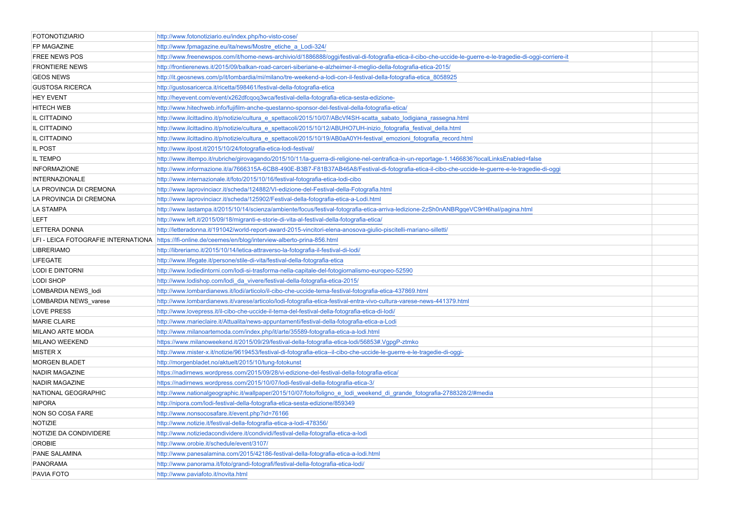| <b>FOTONOTIZIARIO</b>   | http://www.fotonotiziario.eu/index.php/ho-visto-cose/                                                                                                       |  |
|-------------------------|-------------------------------------------------------------------------------------------------------------------------------------------------------------|--|
| FP MAGAZINE             | http://www.fpmagazine.eu/ita/news/Mostre etiche a Lodi-324/                                                                                                 |  |
| <b>FREE NEWS POS</b>    | http://www.freenewspos.com/it/home-news-archivio/d/1886888/oggi/festival-di-fotografia-etica-il-cibo-che-uccide-le-guerre-e-le-tragedie-di-oggi-corriere-it |  |
| <b>FRONTIERE NEWS</b>   | http://frontierenews.it/2015/09/balkan-road-carceri-siberiane-e-alzheimer-il-meglio-della-fotografia-etica-2015/                                            |  |
| <b>GEOS NEWS</b>        | http://it.geosnews.com/p/it/lombardia/mi/milano/tre-weekend-a-lodi-con-il-festival-della-fotografia-etica 8058925                                           |  |
| <b>GUSTOSA RICERCA</b>  | http://gustosaricerca.it/ricetta/598461/festival-della-fotografia-etica                                                                                     |  |
| <b>HEY EVENT</b>        | http://heyevent.com/event/x262dfcqoq3wca/festival-della-fotografia-etica-sesta-edizione-                                                                    |  |
| <b>HITECH WEB</b>       | http://www.hitechweb.info/fujifilm-anche-questanno-sponsor-del-festival-della-fotografia-etica/                                                             |  |
| IL CITTADINO            | http://www.ilcittadino.it/p/notizie/cultura e spettacoli/2015/10/07/ABcVf4SH-scatta sabato lodigiana rassegna.html                                          |  |
| IL CITTADINO            | http://www.ilcittadino.it/p/notizie/cultura_e_spettacoli/2015/10/12/ABUHO7UH-inizio_fotografia_festival_della.html                                          |  |
| IL CITTADINO            | http://www.ilcittadino.it/p/notizie/cultura_e_spettacoli/2015/10/19/AB0aA0YH-festival_emozioni_fotografia_record.html                                       |  |
| IL POST                 | http://www.ilpost.it/2015/10/24/fotografia-etica-lodi-festival/                                                                                             |  |
| IL TEMPO                | http://www.iltempo.it/rubriche/girovagando/2015/10/11/la-guerra-di-religione-nel-centrafica-in-un-reportage-1.1466836?localLinksEnabled=false               |  |
| <b>INFORMAZIONE</b>     | http://www.informazione.it/a/7666315A-6CB8-490E-B3B7-F81B37AB46A8/Festival-di-fotografia-etica-il-cibo-che-uccide-le-guerre-e-le-tragedie-di-oggi           |  |
| <b>INTERNAZIONALE</b>   | http://www.internazionale.it/foto/2015/10/16/festival-fotografia-etica-lodi-cibo                                                                            |  |
| LA PROVINCIA DI CREMONA | http://www.laprovinciacr.it/scheda/124882/VI-edizione-del-Festival-della-Fotografia.html                                                                    |  |
| LA PROVINCIA DI CREMONA | http://www.laprovinciacr.it/scheda/125902/Festival-della-fotografia-etica-a-Lodi.html                                                                       |  |
| <b>LA STAMPA</b>        | http://www.lastampa.it/2015/10/14/scienza/ambiente/focus/festival-fotografia-etica-arriva-ledizione-2zSh0nANBRgqeVC9rH6hal/pagina.html                      |  |
| <b>LEFT</b>             | http://www.left.it/2015/09/18/migranti-e-storie-di-vita-al-festival-della-fotografia-etica/                                                                 |  |
| <b>LETTERA DONNA</b>    | http://letteradonna.it/191042/world-report-award-2015-vincitori-elena-anosova-giulio-piscitelli-mariano-silletti/                                           |  |
|                         | LFI - LEICA FOTOGRAFIE INTERNATIONA   https://lfi-online.de/ceemes/en/blog/interview-alberto-prina-856.html                                                 |  |
| <b>LIBRERIAMO</b>       | http://libreriamo.it/2015/10/14/letica-attraverso-la-fotografia-il-festival-di-lodi/                                                                        |  |
| <b>LIFEGATE</b>         | http://www.lifegate.it/persone/stile-di-vita/festival-della-fotografia-etica                                                                                |  |
| <b>LODI E DINTORNI</b>  | http://www.lodiedintorni.com/lodi-si-trasforma-nella-capitale-del-fotogiornalismo-europeo-52590                                                             |  |
| <b>LODI SHOP</b>        | http://www.lodishop.com/lodi_da_vivere/festival-della-fotografia-etica-2015/                                                                                |  |
| LOMBARDIA NEWS_lodi     | http://www.lombardianews.it/lodi/articolo/il-cibo-che-uccide-tema-festival-fotografia-etica-437869.html                                                     |  |
| LOMBARDIA NEWS_varese   | http://www.lombardianews.it/varese/articolo/lodi-fotografia-etica-festival-entra-vivo-cultura-varese-news-441379.html                                       |  |
| <b>LOVE PRESS</b>       | http://www.lovepress.it/il-cibo-che-uccide-il-tema-del-festival-della-fotografia-etica-di-lodi/                                                             |  |
| <b>MARIE CLAIRE</b>     | http://www.marieclaire.it/Attualita/news-appuntamenti/festival-della-fotografia-etica-a-Lodi                                                                |  |
| <b>MILANO ARTE MODA</b> | http://www.milanoartemoda.com/index.php/it/arte/35589-fotografia-etica-a-lodi.html                                                                          |  |
| <b>MILANO WEEKEND</b>   | https://www.milanoweekend.it/2015/09/29/festival-della-fotografia-etica-lodi/56853#.VgpgP-ztmko                                                             |  |
| <b>MISTER X</b>         | http://www.mister-x.it/notizie/9619453/festival-di-fotografia-etica--il-cibo-che-uccide-le-guerre-e-le-tragedie-di-oggi-                                    |  |
| <b>MORGEN BLADET</b>    | http://morgenbladet.no/aktuelt/2015/10/tung-fotokunst                                                                                                       |  |
| <b>NADIR MAGAZINE</b>   | https://nadirnews.wordpress.com/2015/09/28/vi-edizione-del-festival-della-fotografia-etica/                                                                 |  |
| <b>NADIR MAGAZINE</b>   | https://nadirnews.wordpress.com/2015/10/07/lodi-festival-della-fotografia-etica-3/                                                                          |  |
| NATIONAL GEOGRAPHIC     | http://www.nationalgeographic.it/wallpaper/2015/10/07/foto/foligno e lodi weekend di grande fotografia-2788328/2/#media                                     |  |
| <b>NIPORA</b>           | http://nipora.com/lodi-festival-della-fotografia-etica-sesta-edizione/859349                                                                                |  |
| NON SO COSA FARE        | http://www.nonsocosafare.it/event.php?id=76166                                                                                                              |  |
| NOTIZIE                 | http://www.notizie.it/festival-della-fotografia-etica-a-lodi-478356/                                                                                        |  |
| NOTIZIE DA CONDIVIDERE  | http://www.notiziedacondividere.it/condividi/festival-della-fotografia-etica-a-lodi                                                                         |  |
| <b>OROBIE</b>           | http://www.orobie.it/schedule/event/3107/                                                                                                                   |  |
| PANE SALAMINA           | http://www.panesalamina.com/2015/42186-festival-della-fotografia-etica-a-lodi.html                                                                          |  |
| <b>PANORAMA</b>         | http://www.panorama.it/foto/grandi-fotografi/festival-della-fotografia-etica-lodi/                                                                          |  |
| PAVIA FOTO              | http://www.paviafoto.it/novita.html                                                                                                                         |  |